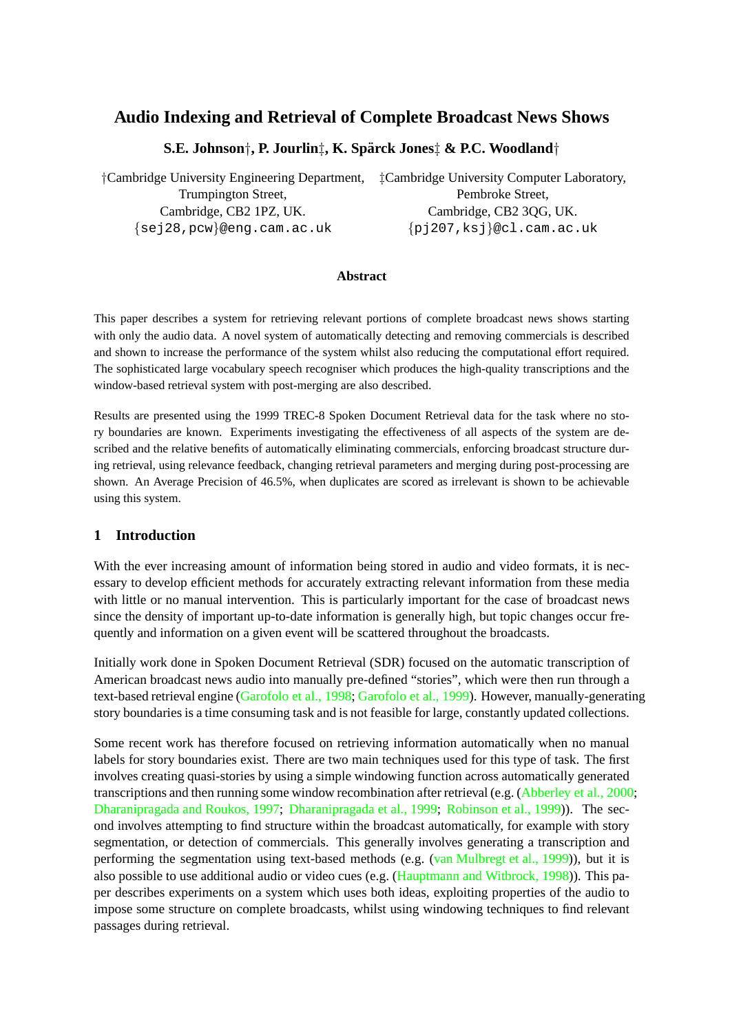# **Audio Indexing and Retrieval of Complete Broadcast News Shows**

## **S.E. Johnson**†**, P. Jourlin**‡**, K. Sparck Jones ¨** ‡ **& P.C. Woodland**†

†Cambridge University Engineering Department, ‡Cambridge University Computer Laboratory, Trumpington Street, Cambridge, CB2 1PZ, UK. Cambridge, CB2 3QG, UK. {sej28,pcw}@eng.cam.ac.uk {pj207,ksj}@cl.cam.ac.uk

#### **Abstract**

This paper describes a system for retrieving relevant portions of complete broadcast news shows starting with only the audio data. A novel system of automatically detecting and removing commercials is described and shown to increase the performance of the system whilst also reducing the computational effort required. The sophisticated large vocabulary speech recogniser which produces the high-quality transcriptions and the window-based retrieval system with post-merging are also described.

Results are presented using the 1999 TREC-8 Spoken Document Retrieval data for the task where no story boundaries are known. Experiments investigating the effectiveness of all aspects of the system are described and the relative benefits of automatically eliminating commercials, enforcing broadcast structure during retrieval, using relevance feedback, changing retrieval parameters and merging during post-processing are shown. An Average Precision of 46.5%, when duplicates are scored as irrelevant is shown to be achievable using this system.

#### **1 Introduction**

With the ever increasing amount of information being stored in audio and video formats, it is necessary to develop efficient methods for accurately extracting relevant information from these media with little or no manual intervention. This is particularly important for the case of broadcast news since the density of important up-to-date information is generally high, but topic changes occur frequently and information on a given event will be scattered throughout the broadcasts.

Initially work done in Spoken Document Retrieval (SDR) focused on the automatic transcription of American broadcast news audio into manually pre-defined "stories", which were then run through a text-based retrieval engine (Garofolo et al., 1998; Garofolo et al., 1999). However, manually-generating story boundaries is a time consuming task and is not feasible for large, constantly updated collections.

Some recent work has therefore focused on retrieving information automatically when no manual labels for story boundaries [exist. There are two](#page-14-0) [main techniques used](#page-13-0) for this type of task. The first involves creating quasi-stories by using a simple windowing function across automatically generated transcriptions and then running some window recombination after retrieval (e.g. (Abberley et al., 2000; Dharanipragada and Roukos, 1997; Dharanipragada et al., 1999; Robinson et al., 1999)). The second involves attempting to find structure within the broadcast automatically, for example with story segmentation, or detection of commercials. This generally involves generating a transcription and performing the segmentation using text-based methods (e.g. (van Mulbregt et [al., 1999\)\), but it is](#page-13-0) [also possible to use additional audio or video cues \(e.g. \(Hauptm](#page-13-0)[ann and Witbrock, 199](#page-14-0)8)). This paper describes experiments on a system which uses both ideas, exploiting properties of the audio to impose some structure on complete broadcasts, whilst using w[indowing techniques to fin](#page-14-0)d relevant passages during retrieval.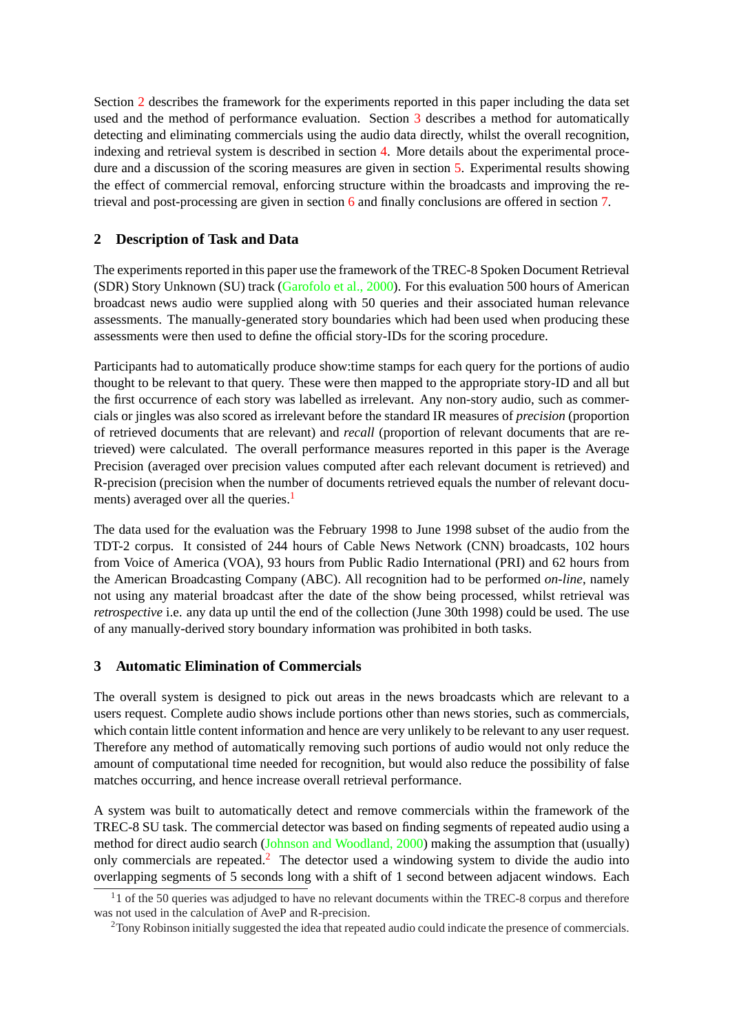Section 2 describes the framework for the experiments reported in this paper including the data set used and the method of performance evaluation. Section 3 describes a method for automatically detecting and eliminating commercials using the audio data directly, whilst the overall recognition, indexing and retrieval system is described in section 4. More details about the experimental procedure and a discussion of the scoring measures are given in section 5. Experimental results showing the effect of commercial removal, enforcing structure within the broadcasts and improving the retrieval and post-processing are given in section 6 and [fin](#page-3-0)ally conclusions are offered in section 7.

### **2 Description of Task and Data**

The experiments reported in this paper use the f[ram](#page-5-0)ework of the TREC-8 Spoken Document Ret[rie](#page-12-0)val (SDR) Story Unknown (SU) track (Garofolo et al., 2000). For this evaluation 500 hours of American broadcast news audio were supplied along with 50 queries and their associated human relevance assessments. The manually-generated story boundaries which had been used when producing these assessments were then used to defi[ne the official story-ID](#page-13-0)s for the scoring procedure.

Participants had to automatically produce show:time stamps for each query for the portions of audio thought to be relevant to that query. These were then mapped to the appropriate story-ID and all but the first occurrence of each story was labelled as irrelevant. Any non-story audio, such as commercials or jingles was also scored as irrelevant before the standard IR measures of *precision* (proportion of retrieved documents that are relevant) and *recall* (proportion of relevant documents that are retrieved) were calculated. The overall performance measures reported in this paper is the Average Precision (averaged over precision values computed after each relevant document is retrieved) and R-precision (precision when the number of documents retrieved equals the number of relevant documents) averaged over all the queries.<sup>1</sup>

The data used for the evaluation was the February 1998 to June 1998 subset of the audio from the TDT-2 corpus. It consisted of 244 hours of Cable News Network (CNN) broadcasts, 102 hours from Voice of America (VOA), 93 hours from Public Radio International (PRI) and 62 hours from the American Broadcasting Company (ABC). All recognition had to be performed *on-line*, namely not using any material broadcast after the date of the show being processed, whilst retrieval was *retrospective* i.e. any data up until the end of the collection (June 30th 1998) could be used. The use of any manually-derived story boundary information was prohibited in both tasks.

### **3 Automatic Elimination of Commercials**

The overall system is designed to pick out areas in the news broadcasts which are relevant to a users request. Complete audio shows include portions other than news stories, such as commercials, which contain little content information and hence are very unlikely to be relevant to any user request. Therefore any method of automatically removing such portions of audio would not only reduce the amount of computational time needed for recognition, but would also reduce the possibility of false matches occurring, and hence increase overall retrieval performance.

A system was built to automatically detect and remove commercials within the framework of the TREC-8 SU task. The commercial detector was based on finding segments of repeated audio using a method for direct audio search (Johnson and Woodland, 2000) making the assumption that (usually) only commercials are repeated.<sup>2</sup> The detector used a windowing system to divide the audio into overlapping segments of 5 seconds long with a shift of 1 second between adjacent windows. Each

 $11$  of the 50 queries was adjud[ged to have no relevant documents](#page-14-0) within the TREC-8 corpus and therefore was not used in the calculation of AveP and R-precision.

<sup>&</sup>lt;sup>2</sup>Tony Robinson initially suggested the idea that repeated audio could indicate the presence of commercials.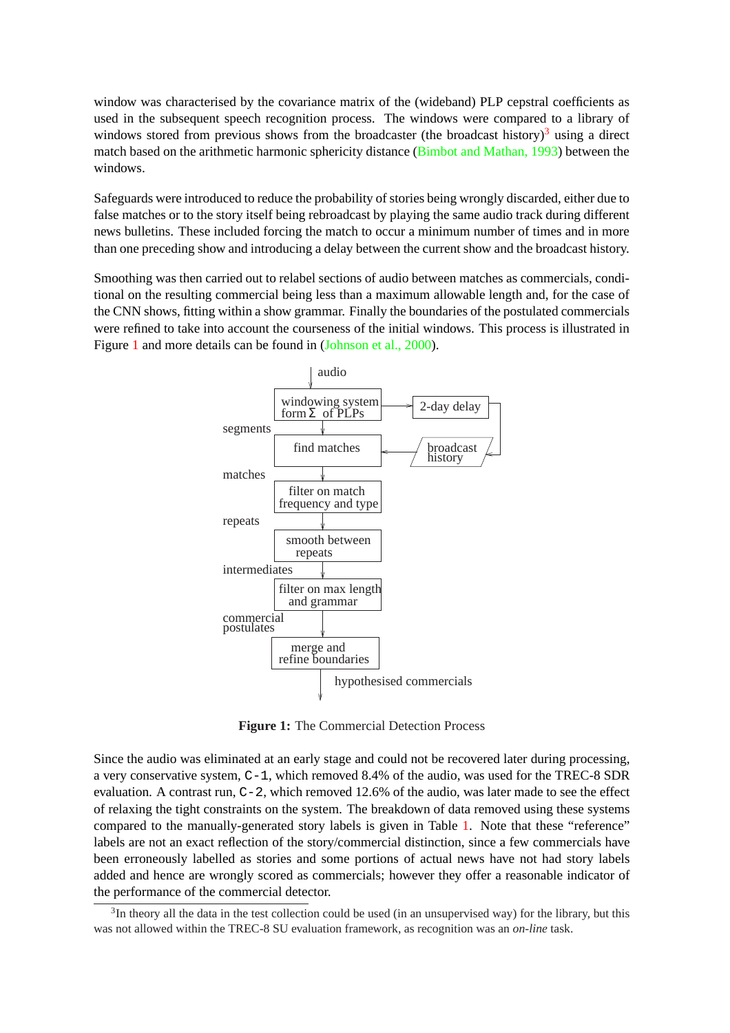window was characterised by the covariance matrix of the (wideband) PLP cepstral coefficients as used in the subsequent speech recognition process. The windows were compared to a library of windows stored from previous shows from the broadcaster (the broadcast history)<sup>3</sup> using a direct match based on the arithmetic harmonic sphericity distance (Bimbot and Mathan, 1993) between the windows.

Safeguards were introduced to reduce the probability of stories being wrongly discarded, either due to false matches or to the story itself being rebroadcast by play[ing the same audio track dur](#page-13-0)ing different news bulletins. These included forcing the match to occur a minimum number of times and in more than one preceding show and introducing a delay between the current show and the broadcast history.

Smoothing was then carried out to relabel sections of audio between matches as commercials, conditional on the resulting commercial being less than a maximum allowable length and, for the case of the CNN shows, fitting within a show grammar. Finally the boundaries of the postulated commercials were refined to take into account the courseness of the initial windows. This process is illustrated in Figure 1 and more details can be found in (Johnson et al., 2000).



**Figure 1:** The Commercial Detection Process

Since the audio was eliminated at an early stage and could not be recovered later during processing, a very conservative system, C-1, which removed 8.4% of the audio, was used for the TREC-8 SDR evaluation. A contrast run,  $C-2$ , which removed 12.6% of the audio, was later made to see the effect of relaxing the tight constraints on the system. The breakdown of data removed using these systems compared to the manually-generated story labels is given in Table 1. Note that these "reference" labels are not an exact reflection of the story/commercial distinction, since a few commercials have been erroneously labelled as stories and some portions of actual news have not had story labels added and hence are wrongly scored as commercials; however the[y o](#page-3-0)ffer a reasonable indicator of the performance of the commercial detector.

 $3$ In theory all the data in the test collection could be used (in an unsupervised way) for the library, but this was not allowed within the TREC-8 SU evaluation framework, as recognition was an *on-line* task.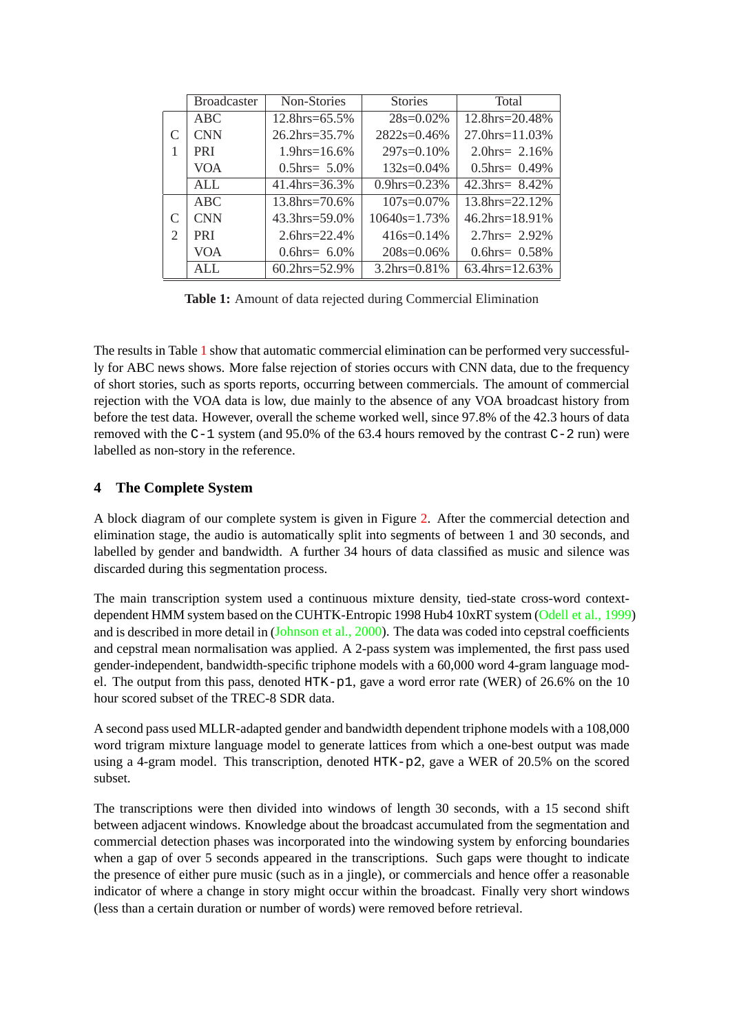<span id="page-3-0"></span>

|                             | <b>Broadcaster</b> | Non-Stories                | <b>Stories</b>      | Total                 |
|-----------------------------|--------------------|----------------------------|---------------------|-----------------------|
|                             | ABC                | $12.8$ hrs=65.5%           | $28s=0.02\%$        | $12.8$ hrs= $20.48\%$ |
| $\mathcal{C}_{\mathcal{C}}$ | <b>CNN</b>         | $26.2 \text{hrs} = 35.7\%$ | $2822s=0.46%$       | $27.0$ hrs=11.03%     |
|                             | <b>PRI</b>         | $1.9$ hrs= $16.6\%$        | $297s=0.10\%$       | 2.0hrs = $2.16\%$     |
|                             | VOA                | $0.5$ hrs $= 5.0\%$        | $132s=0.04\%$       | $0.5$ hrs= $0.49\%$   |
|                             | <b>ALL</b>         | 41.4hrs= $36.3\%$          | $0.9$ hrs= $0.23\%$ | 42.3hrs = $8.42\%$    |
|                             | ABC                | $13.8$ hrs= $70.6\%$       | $107s = 0.07\%$     | $13.8$ hrs= $22.12\%$ |
| $\mathcal{C}_{\mathcal{C}}$ | <b>CNN</b>         | $43.3$ hrs=59.0%           | $10640s = 1.73\%$   | $46.2$ hrs= $18.91\%$ |
| 2                           | <b>PRI</b>         | 2.6hrs= $22.4\%$           | $416s=0.14%$        | 2.7hrs = $2.92\%$     |
|                             | VOA                | $0.6$ hrs $= 6.0\%$        | $208s=0.06\%$       | $0.6$ hrs= $0.58\%$   |
|                             | AIJ.               | $60.2$ hrs=52.9%           | $3.2hrs = 0.81\%$   | 63.4hrs=12.63%        |

**Table 1:** Amount of data rejected during Commercial Elimination

The results in Table 1 show that automatic commercial elimination can be performed very successfully for ABC news shows. More false rejection of stories occurs with CNN data, due to the frequency of short stories, such as sports reports, occurring between commercials. The amount of commercial rejection with the VOA data is low, due mainly to the absence of any VOA broadcast history from before the test data. However, overall the scheme worked well, since 97.8% of the 42.3 hours of data removed with the  $C-1$  system (and 95.0% of the 63.4 hours removed by the contrast  $C-2$  run) were labelled as non-story in the reference.

## **4 The Complete System**

A block diagram of our complete system is given in Figure 2. After the commercial detection and elimination stage, the audio is automatically split into segments of between 1 and 30 seconds, and labelled by gender and bandwidth. A further 34 hours of data classified as music and silence was discarded during this segmentation process.

The main transcription system used a continuous mixture density, tied-state cross-word contextdependent HMM system based on the CUHTK-Entropic 1998 Hub4 10xRT system (Odell et al., 1999) and is described in more detail in (Johnson et al., 2000). The data was coded into cepstral coefficients and cepstral mean normalisation was applied. A 2-pass system was implemented, the first pass used gender-independent, bandwidth-specific triphone models with a 60,000 word 4-gram language model. The output from this pass, denoted HTK-p1, gave a word error rate (WER) of [26.6% on the 10](#page-14-0) hour scored subset of the TREC-[8 SDR data.](#page-14-0)

A second pass used MLLR-adapted gender and bandwidth dependent triphone models with a 108,000 word trigram mixture language model to generate lattices from which a one-best output was made using a 4-gram model. This transcription, denoted HTK-p2, gave a WER of 20.5% on the scored subset.

The transcriptions were then divided into windows of length 30 seconds, with a 15 second shift between adjacent windows. Knowledge about the broadcast accumulated from the segmentation and commercial detection phases was incorporated into the windowing system by enforcing boundaries when a gap of over 5 seconds appeared in the transcriptions. Such gaps were thought to indicate the presence of either pure music (such as in a jingle), or commercials and hence offer a reasonable indicator of where a change in story might occur within the broadcast. Finally very short windows (less than a certain duration or number of words) were removed before retrieval.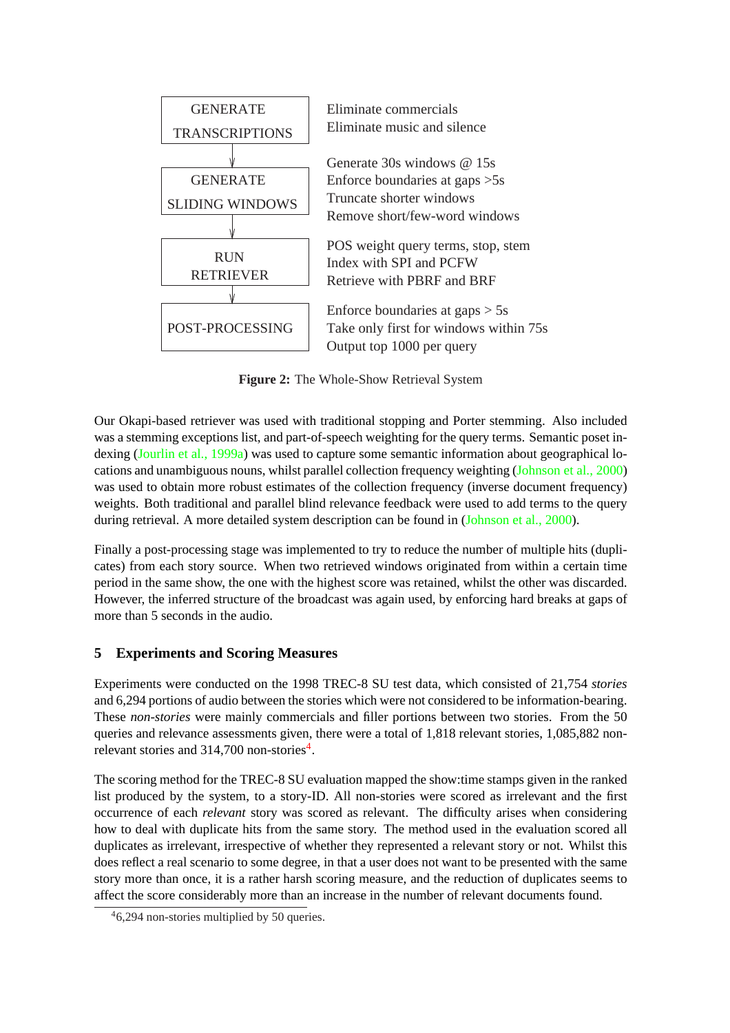

**Figure 2:** The Whole-Show Retrieval System

Our Okapi-based retriever was used with traditional stopping and Porter stemming. Also included was a stemming exceptions list, and part-of-speech weighting for the query terms. Semantic poset indexing (Jourlin et al., 1999a) was used to capture some semantic information about geographical locations and unambiguous nouns, whilst parallel collection frequency weighting (Johnson et al., 2000) was used to obtain more robust estimates of the collection frequency (inverse document frequency) weights. Both traditional and parallel blind relevance feedback were used to add terms to the query during [retrieval. A more deta](#page-14-0)iled system description can be found in (Johnson [et al., 2000\).](#page-14-0)

Finally a post-processing stage was implemented to try to reduce the number of multiple hits (duplicates) from each story source. When two retrieved windows originated from within a certain time period in the same show, the one with the highest score was retained, [whilst the other was d](#page-14-0)iscarded. However, the inferred structure of the broadcast was again used, by enforcing hard breaks at gaps of more than 5 seconds in the audio.

## **5 Experiments and Scoring Measures**

Experiments were conducted on the 1998 TREC-8 SU test data, which consisted of 21,754 *stories* and 6,294 portions of audio between the stories which were not considered to be information-bearing. These *non-stories* were mainly commercials and filler portions between two stories. From the 50 queries and relevance assessments given, there were a total of 1,818 relevant stories, 1,085,882 nonrelevant stories and 314,700 non-stories<sup>4</sup>.

The scoring method for the TREC-8 SU evaluation mapped the show:time stamps given in the ranked list produced by the system, to a story-ID. All non-stories were scored as irrelevant and the first occurrence of each *relevant* story was scored as relevant. The difficulty arises when considering how to deal with duplicate hits from the same story. The method used in the evaluation scored all duplicates as irrelevant, irrespective of whether they represented a relevant story or not. Whilst this does reflect a real scenario to some degree, in that a user does not want to be presented with the same story more than once, it is a rather harsh scoring measure, and the reduction of duplicates seems to affect the score considerably more than an increase in the number of relevant documents found.

<sup>4</sup>6,294 non-stories multiplied by 50 queries.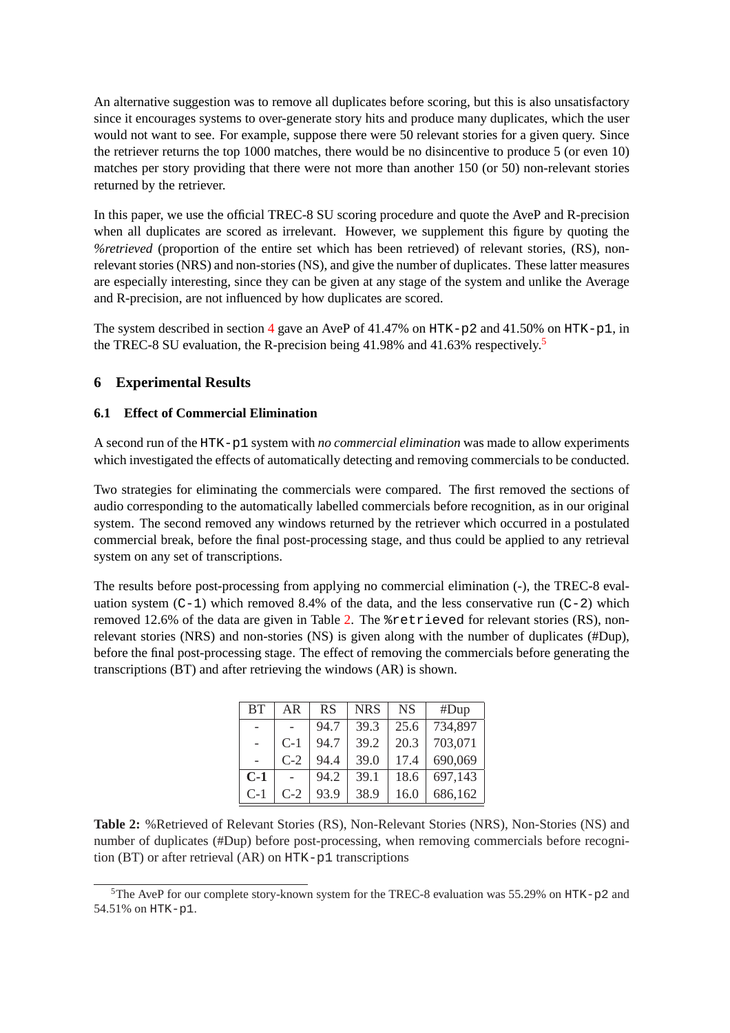<span id="page-5-0"></span>An alternative suggestion was to remove all duplicates before scoring, but this is also unsatisfactory since it encourages systems to over-generate story hits and produce many duplicates, which the user would not want to see. For example, suppose there were 50 relevant stories for a given query. Since the retriever returns the top 1000 matches, there would be no disincentive to produce 5 (or even 10) matches per story providing that there were not more than another 150 (or 50) non-relevant stories returned by the retriever.

In this paper, we use the official TREC-8 SU scoring procedure and quote the AveP and R-precision when all duplicates are scored as irrelevant. However, we supplement this figure by quoting the *%retrieved* (proportion of the entire set which has been retrieved) of relevant stories, (RS), nonrelevant stories (NRS) and non-stories (NS), and give the number of duplicates. These latter measures are especially interesting, since they can be given at any stage of the system and unlike the Average and R-precision, are not influenced by how duplicates are scored.

The system described in section 4 gave an AveP of  $41.47\%$  on HTK-p2 and  $41.50\%$  on HTK-p1, in the TREC-8 SU evaluation, the R-precision being 41.98% and 41.63% respectively.<sup>5</sup>

## **6 Experimental Results**

### **6.1 Effect of Commercial Elimination**

A second run of the HTK-p1 system with *no commercial elimination* was made to allow experiments which investigated the effects of automatically detecting and removing commercials to be conducted.

Two strategies for eliminating the commercials were compared. The first removed the sections of audio corresponding to the automatically labelled commercials before recognition, as in our original system. The second removed any windows returned by the retriever which occurred in a postulated commercial break, before the final post-processing stage, and thus could be applied to any retrieval system on any set of transcriptions.

The results before post-processing from applying no commercial elimination (-), the TREC-8 evaluation system  $(C-1)$  which removed 8.4% of the data, and the less conservative run  $(C-2)$  which removed 12.6% of the data are given in Table 2. The %retrieved for relevant stories (RS), nonrelevant stories (NRS) and non-stories (NS) is given along with the number of duplicates (#Dup), before the final post-processing stage. The effect of removing the commercials before generating the transcriptions (BT) and after retrieving the windows (AR) is shown.

| <b>BT</b> | AR    | <b>RS</b> | <b>NRS</b> | <b>NS</b> | #Dup    |
|-----------|-------|-----------|------------|-----------|---------|
|           |       | 94.7      | 39.3       | 25.6      | 734,897 |
|           | $C-1$ | 94.7      | 39.2       | 20.3      | 703,071 |
|           | $C-2$ | 94.4      | 39.0       | 17.4      | 690,069 |
| $C-1$     |       | 94.2      | 39.1       | 18.6      | 697,143 |
| $C-1$     | $C-2$ | 93.9      | 38.9       | 16.0      | 686,162 |

**Table 2:** %Retrieved of Relevant Stories (RS), Non-Relevant Stories (NRS), Non-Stories (NS) and number of duplicates (#Dup) before post-processing, when removing commercials before recognition (BT) or after retrieval (AR) on HTK-p1 transcriptions

<sup>5</sup>The AveP for our complete story-known system for the TREC-8 evaluation was 55.29% on HTK-p2 and 54.51% on HTK-p1.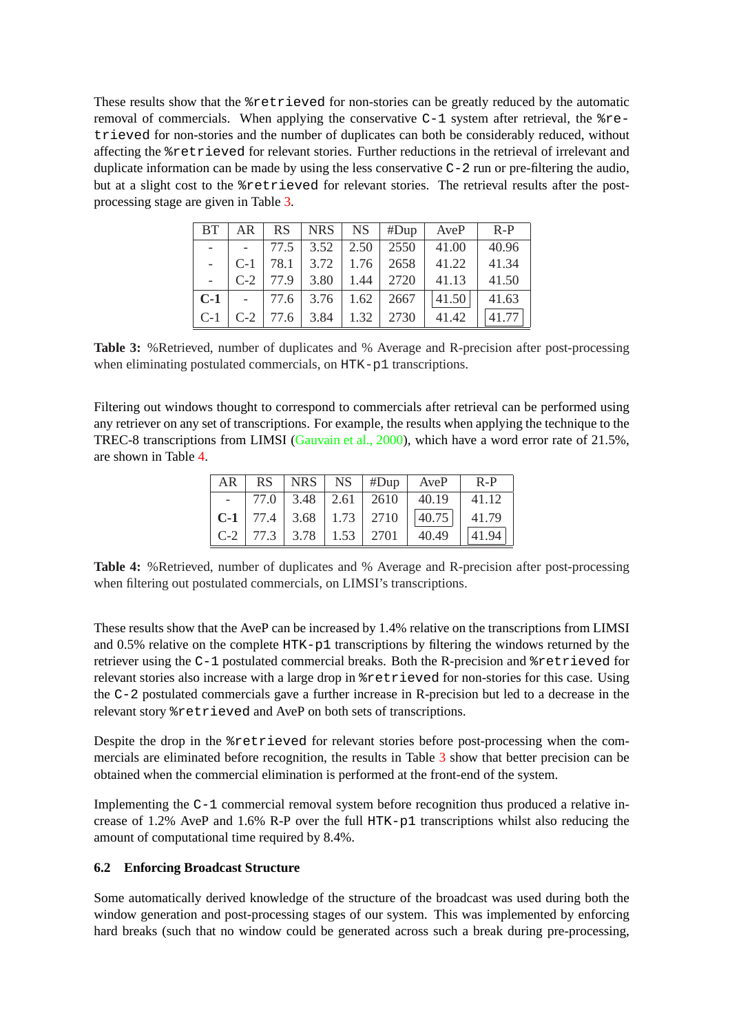These results show that the %retrieved for non-stories can be greatly reduced by the automatic removal of commercials. When applying the conservative  $C-1$  system after retrieval, the  $r = -1$ trieved for non-stories and the number of duplicates can both be considerably reduced, without affecting the %retrieved for relevant stories. Further reductions in the retrieval of irrelevant and duplicate information can be made by using the less conservative C-2 run or pre-filtering the audio, but at a slight cost to the %retrieved for relevant stories. The retrieval results after the postprocessing stage are given in Table 3.

| BT.                  | $AR \perp$ |                                   | $RS$ $ NRS $ $NS$ $#Dup$        | AveP  | $R-P$ |
|----------------------|------------|-----------------------------------|---------------------------------|-------|-------|
| $\sim$ $\sim$ $\sim$ |            |                                   | $-$   77.5   3.52   2.50   2550 | 41.00 | 40.96 |
|                      | $C-1$      | 78.1 3.72 1.76 2658               |                                 | 41.22 | 41.34 |
|                      |            | $C-2$   77.9   3.80   1.44   2720 |                                 | 41.13 | 41.50 |
| $C-1$                |            | $-$ 77.6 3.76 1.62 2667           |                                 | 41.50 | 41.63 |
| $C-1$                | $C-2$      |                                   | 77.6 3.84 1.32 2730             | 41.42 | 41.77 |

**Table 3:** %Retrieved, number of duplicates and % Average and R-precision after post-processing when eliminating postulated commercials, on HTK-p1 transcriptions.

Filtering out windows thought to correspond to commercials after retrieval can be performed using any retriever on any set of transcriptions. For example, the results when applying the technique to the TREC-8 transcriptions from LIMSI (Gauvain et al., 2000), which have a word error rate of 21.5%, are shown in Table 4.

| AR | RS. |                                   | $ NRS $ NS $ H$ Dup                                                    | AveP  | $R-P$ |
|----|-----|-----------------------------------|------------------------------------------------------------------------|-------|-------|
|    |     | 77.0 3.48 2.61 2610               |                                                                        | 40.19 | 41.12 |
|    |     |                                   | $\vert$ <b>C-1</b> $\vert$ 77.4 $\vert$ 3.68 $\vert$ 1.73 $\vert$ 2710 | 40.75 | 41.79 |
|    |     | $C-2$   77.3   3.78   1.53   2701 |                                                                        | 40.49 | 41.94 |

**Table 4:** %Retrieved, number of duplicates and % Average and R-precision after post-processing when filtering out postulated commercials, on LIMSI's transcriptions.

These results show that the AveP can be increased by 1.4% relative on the transcriptions from LIMSI and 0.5% relative on the complete HTK-p1 transcriptions by filtering the windows returned by the retriever using the C-1 postulated commercial breaks. Both the R-precision and %retrieved for relevant stories also increase with a large drop in %retrieved for non-stories for this case. Using the C-2 postulated commercials gave a further increase in R-precision but led to a decrease in the relevant story %retrieved and AveP on both sets of transcriptions.

Despite the drop in the %retrieved for relevant stories before post-processing when the commercials are eliminated before recognition, the results in Table 3 show that better precision can be obtained when the commercial elimination is performed at the front-end of the system.

Implementing the C-1 commercial removal system before recognition thus produced a relative increase of 1.2% AveP and 1.6% R-P over the full HTK-p1 transcriptions whilst also reducing the amount of computational time required by 8.4%.

### **6.2 Enforcing Broadcast Structure**

Some automatically derived knowledge of the structure of the broadcast was used during both the window generation and post-processing stages of our system. This was implemented by enforcing hard breaks (such that no window could be generated across such a break during pre-processing,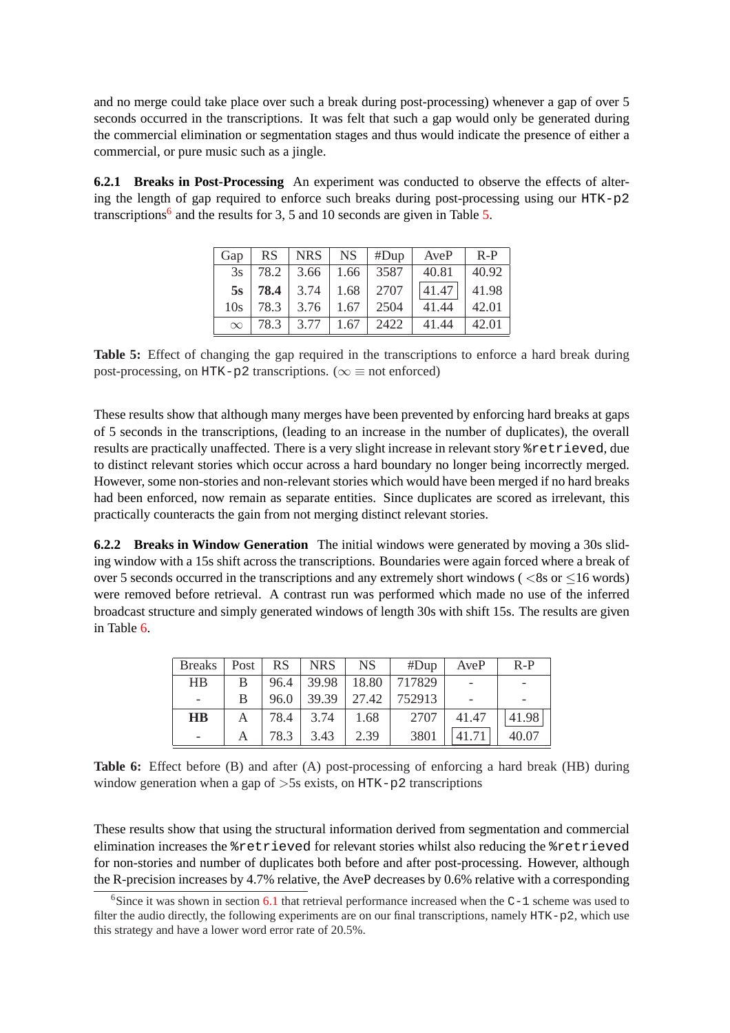and no merge could take place over such a break during post-processing) whenever a gap of over 5 seconds occurred in the transcriptions. It was felt that such a gap would only be generated during the commercial elimination or segmentation stages and thus would indicate the presence of either a commercial, or pure music such as a jingle.

**6.2.1 Breaks in Post-Processing** An experiment was conducted to observe the effects of altering the length of gap required to enforce such breaks during post-processing using our HTK-p2 transcriptions<sup>6</sup> and the results for 3, 5 and 10 seconds are given in Table 5.

| Gap      | <b>RS</b> | <b>NRS</b> | NS.  | #Dup | AveP  | $R-P$ |
|----------|-----------|------------|------|------|-------|-------|
| 3s       | 78.2      | 3.66       | 1.66 | 3587 | 40.81 | 40.92 |
| 5s       | 78.4      | 3.74       | 1.68 | 2707 | 41.47 | 41.98 |
| 10s      | 78.3      | 3.76       | 1.67 | 2504 | 41.44 | 42.01 |
| $\infty$ | 78.3      | 3.77       | 1.67 | 2422 | 41.44 | 42.01 |

**Table 5:** Effect of changing the gap required in the transcriptions to enforce a hard break during post-processing, on HTK-p2 transcriptions. ( $\infty \equiv$  not enforced)

These results show that although many merges have been prevented by enforcing hard breaks at gaps of 5 seconds in the transcriptions, (leading to an increase in the number of duplicates), the overall results are practically unaffected. There is a very slight increase in relevant story %retrieved, due to distinct relevant stories which occur across a hard boundary no longer being incorrectly merged. However, some non-stories and non-relevant stories which would have been merged if no hard breaks had been enforced, now remain as separate entities. Since duplicates are scored as irrelevant, this practically counteracts the gain from not merging distinct relevant stories.

**6.2.2 Breaks in Window Generation** The initial windows were generated by moving a 30s sliding window with a 15s shift across the transcriptions. Boundaries were again forced where a break of over 5 seconds occurred in the transcriptions and any extremely short windows ( $\langle$ 8s or  $\langle$ 16 words) were removed before retrieval. A contrast run was performed which made no use of the inferred broadcast structure and simply generated windows of length 30s with shift 15s. The results are given in Table 6.

| <b>Breaks</b>            | Post |      | $RS$ $ NRS $ $NS$ |      | #Dup $\parallel$                | AveP  | $R-P$ |
|--------------------------|------|------|-------------------|------|---------------------------------|-------|-------|
| HB                       | B.   |      |                   |      | $96.4$   39.98   18.80   717829 |       |       |
| $\overline{\phantom{a}}$ | B    | 96.0 |                   |      | $39.39$   27.42   752913        |       |       |
| $\mathbf{H}\mathbf{B}$   | A    |      | 78.4 3.74         | 1.68 | 2707                            | 41.47 | 41.98 |
|                          |      | 78.3 | 3.43              | 2.39 | 3801                            | 41.71 | 40.07 |

**Table 6:** Effect before (B) and after (A) post-processing of enforcing a hard break (HB) during window generation when a gap of  $>5s$  exists, on HTK-p2 transcriptions

These results show that using the structural information derived from segmentation and commercial elimination increases the %retrieved for relevant stories whilst also reducing the %retrieved for non-stories and number of duplicates both before and after post-processing. However, although the R-precision increases by 4.7% relative, the AveP decreases by 0.6% relative with a corresponding

<sup>&</sup>lt;sup>6</sup>Since it was shown in section 6.1 that retrieval performance increased when the  $C-1$  scheme was used to filter the audio directly, the following experiments are on our final transcriptions, namely HTK-p2, which use this strategy and have a lower word error rate of 20.5%.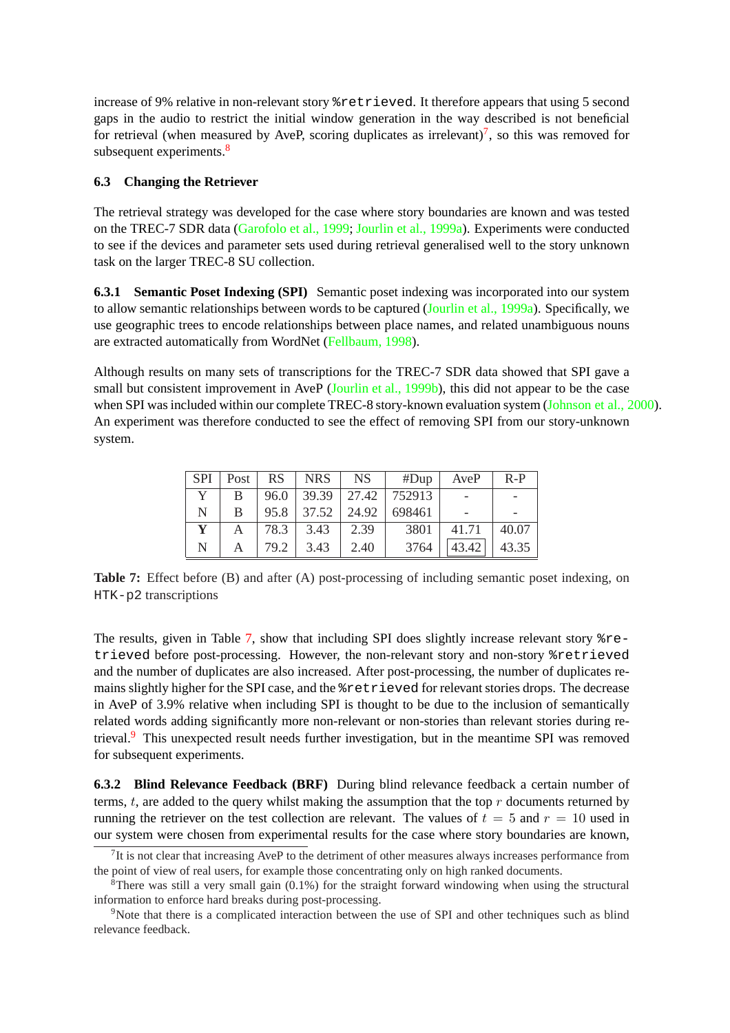increase of 9% relative in non-relevant story %retrieved. It therefore appears that using 5 second gaps in the audio to restrict the initial window generation in the way described is not beneficial for retrieval (when measured by AveP, scoring duplicates as irrelevant)<sup>7</sup>, so this was removed for subsequent experiments.<sup>8</sup>

### **6.3 Changing the Retriever**

The retrieval strategy was developed for the case where story boundaries are known and was tested on the TREC-7 SDR data (Garofolo et al., 1999; Jourlin et al., 1999a). Experiments were conducted to see if the devices and parameter sets used during retrieval generalised well to the story unknown task on the larger TREC-8 SU collection.

**6.3.1 Semantic Poset In[dexing \(SPI\)](#page-13-0)** Seman[tic poset indexing wa](#page-14-0)s incorporated into our system to allow semantic relationships between words to be captured (Jourlin et al., 1999a). Specifically, we use geographic trees to encode relationships between place names, and related unambiguous nouns are extracted automatically from WordNet (Fellbaum, 1998).

Although results on many sets of transcriptions for the TRE[C-7 SDR data showe](#page-14-0)d that SPI gave a small but consistent improvement in AveP (Jourlin et al., 1999b), this did not appear to be the case when SPI was included within our complete [TREC-8 story-k](#page-13-0)nown evaluation system (Johnson et al., 2000). An experiment was therefore conducted to see the effect of removing SPI from our story-unknown system.

| <b>SPI</b> | Post | <b>RS</b> | $ $ NRS       | NS    | #Dup   | AveP  | $R-P$ |
|------------|------|-----------|---------------|-------|--------|-------|-------|
|            | B    | 96.0      | $39.39$ 27.42 |       | 752913 |       |       |
| N          | B    | 95.8      | 37.52         | 24.92 | 698461 |       |       |
| Y          |      | 78.3      | 3.43          | 2.39  | 3801   | 41.71 | 40.07 |
| N          |      | 79.2      | 3.43          | 2.40  | 3764   | 43.42 | 43.35 |

**Table 7:** Effect before (B) and after (A) post-processing of including semantic poset indexing, on HTK-p2 transcriptions

The results, given in Table 7, show that including SPI does slightly increase relevant story %retrieved before post-processing. However, the non-relevant story and non-story %retrieved and the number of duplicates are also increased. After post-processing, the number of duplicates remains slightly higher for the SPI case, and the %retrieved for relevant stories drops. The decrease in AveP of 3.9% relative when including SPI is thought to be due to the inclusion of semantically related words adding significantly more non-relevant or non-stories than relevant stories during retrieval.<sup>9</sup> This unexpected result needs further investigation, but in the meantime SPI was removed for subsequent experiments.

**6.3.2 Blind Relevance Feedback (BRF)** During blind relevance feedback a certain number of terms,  $t$ , are added to the query whilst making the assumption that the top  $r$  documents returned by running the retriever on the test collection are relevant. The values of  $t = 5$  and  $r = 10$  used in our system were chosen from experimental results for the case where story boundaries are known,

<sup>&</sup>lt;sup>7</sup>It is not clear that increasing AveP to the detriment of other measures always increases performance from the point of view of real users, for example those concentrating only on high ranked documents.

<sup>&</sup>lt;sup>8</sup>There was still a very small gain  $(0.1%)$  for the straight forward windowing when using the structural information to enforce hard breaks during post-processing.

<sup>&</sup>lt;sup>9</sup>Note that there is a complicated interaction between the use of SPI and other techniques such as blind relevance feedback.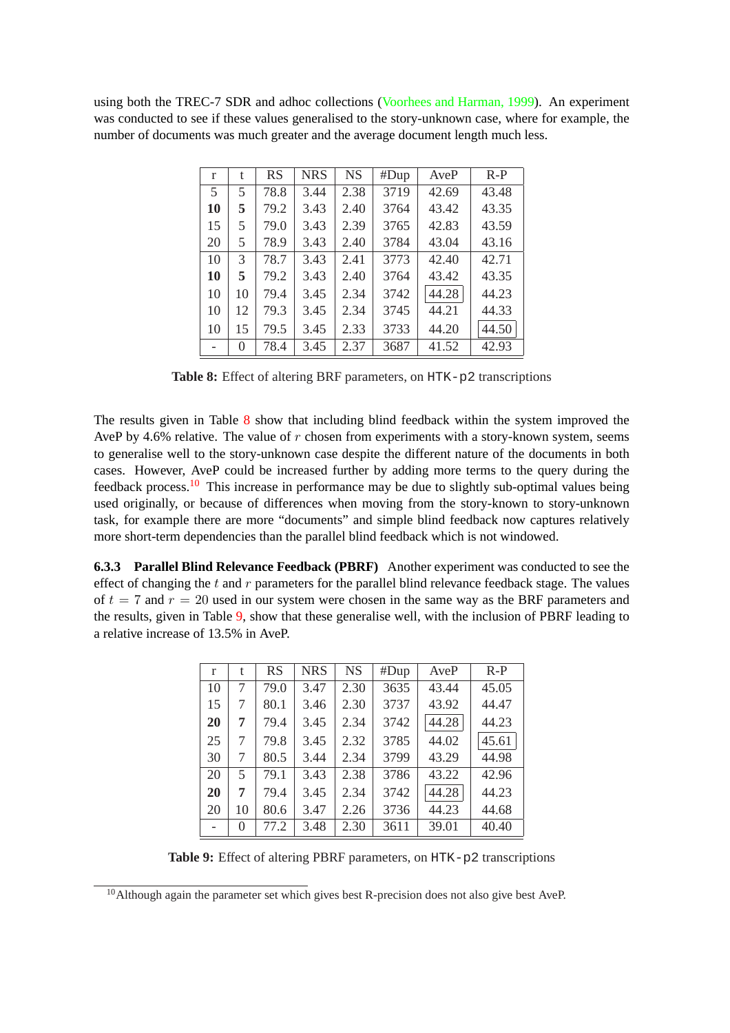using both the TREC-7 SDR and adhoc collections (Voorhees and Harman, 1999). An experiment was conducted to see if these values generalised to the story-unknown case, where for example, the number of documents was much greater and the average document length much less.

| r  | t  | <b>RS</b> | <b>NRS</b> | <b>NS</b> | #Dup | AveP  | $R-P$ |
|----|----|-----------|------------|-----------|------|-------|-------|
| 5  | 5  | 78.8      | 3.44       | 2.38      | 3719 | 42.69 | 43.48 |
| 10 | 5  | 79.2      | 3.43       | 2.40      | 3764 | 43.42 | 43.35 |
| 15 | 5  | 79.0      | 3.43       | 2.39      | 3765 | 42.83 | 43.59 |
| 20 | 5  | 78.9      | 3.43       | 2.40      | 3784 | 43.04 | 43.16 |
| 10 | 3  | 78.7      | 3.43       | 2.41      | 3773 | 42.40 | 42.71 |
| 10 | 5  | 79.2      | 3.43       | 2.40      | 3764 | 43.42 | 43.35 |
| 10 | 10 | 79.4      | 3.45       | 2.34      | 3742 | 44.28 | 44.23 |
| 10 | 12 | 79.3      | 3.45       | 2.34      | 3745 | 44.21 | 44.33 |
| 10 | 15 | 79.5      | 3.45       | 2.33      | 3733 | 44.20 | 44.50 |
|    | 0  | 78.4      | 3.45       | 2.37      | 3687 | 41.52 | 42.93 |

**Table 8:** Effect of altering BRF parameters, on HTK-p2 transcriptions

The results given in Table 8 show that including blind feedback within the system improved the AveP by 4.6% relative. The value of  $r$  chosen from experiments with a story-known system, seems to generalise well to the story-unknown case despite the different nature of the documents in both cases. However, AveP could be increased further by adding more terms to the query during the feedback process.<sup>10</sup> This increase in performance may be due to slightly sub-optimal values being used originally, or because of differences when moving from the story-known to story-unknown task, for example there are more "documents" and simple blind feedback now captures relatively more short-term dependencies than the parallel blind feedback which is not windowed.

**6.3.3 Parallel Blind Relevance Feedback (PBRF)** Another experiment was conducted to see the effect of changing the  $t$  and  $r$  parameters for the parallel blind relevance feedback stage. The values of  $t = 7$  and  $r = 20$  used in our system were chosen in the same way as the BRF parameters and the results, given in Table 9, show that these generalise well, with the inclusion of PBRF leading to a relative increase of 13.5% in AveP.

| $\mathbf{r}$ | t  | <b>RS</b> | <b>NRS</b> | NS   | #Dup | AveP  | $R-P$ |
|--------------|----|-----------|------------|------|------|-------|-------|
| 10           | 7  | 79.0      | 3.47       | 2.30 | 3635 | 43.44 | 45.05 |
| 15           | 7  | 80.1      | 3.46       | 2.30 | 3737 | 43.92 | 44.47 |
| 20           | 7  | 79.4      | 3.45       | 2.34 | 3742 | 44.28 | 44.23 |
| 25           | 7  | 79.8      | 3.45       | 2.32 | 3785 | 44.02 | 45.61 |
| 30           | 7  | 80.5      | 3.44       | 2.34 | 3799 | 43.29 | 44.98 |
| 20           | 5  | 79.1      | 3.43       | 2.38 | 3786 | 43.22 | 42.96 |
| 20           | 7  | 79.4      | 3.45       | 2.34 | 3742 | 44.28 | 44.23 |
| 20           | 10 | 80.6      | 3.47       | 2.26 | 3736 | 44.23 | 44.68 |
|              | 0  | 77.2      | 3.48       | 2.30 | 3611 | 39.01 | 40.40 |

Table 9: Effect of altering PBRF parameters, on HTK-p2 transcriptions

<sup>&</sup>lt;sup>10</sup>Although again the parameter set which gives best R-precision does not also give best AveP.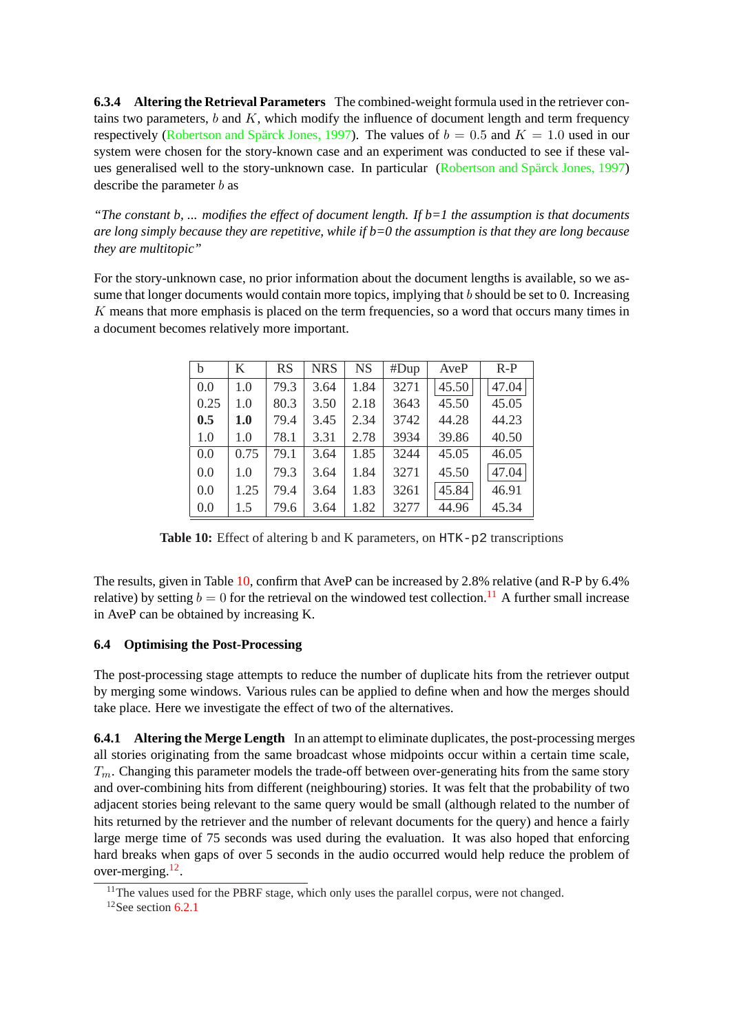**6.3.4 Altering the Retrieval Parameters** The combined-weight formula used in the retriever contains two parameters,  $b$  and  $K$ , which modify the influence of document length and term frequency respectively (Robertson and Spärck Jones, 1997). The values of  $b = 0.5$  and  $K = 1.0$  used in our system were chosen for the story-known case and an experiment was conducted to see if these values generalised well to the story-unknown case. In particular (Robertson and Spärck Jones, 1997) describe the [parameter](#page-14-0) *b* as

*"The constant b, ... modifies the effect of document length. If b=1 the assumption is that documents are long simply because they are repetitive, while if b=0 the assu[mption is that they are long because](#page-14-0) they are multitopic"*

For the story-unknown case, no prior information about the document lengths is available, so we assume that longer documents would contain more topics, implying that b should be set to 0. Increasing K means that more emphasis is placed on the term frequencies, so a word that occurs many times in a document becomes relatively more important.

| b    | K    | <b>RS</b> | <b>NRS</b> | NS   | #Dup | AveP  | $R-P$ |
|------|------|-----------|------------|------|------|-------|-------|
| 0.0  | 1.0  | 79.3      | 3.64       | 1.84 | 3271 | 45.50 | 47.04 |
| 0.25 | 1.0  | 80.3      | 3.50       | 2.18 | 3643 | 45.50 | 45.05 |
| 0.5  | 1.0  | 79.4      | 3.45       | 2.34 | 3742 | 44.28 | 44.23 |
| 1.0  | 1.0  | 78.1      | 3.31       | 2.78 | 3934 | 39.86 | 40.50 |
| 0.0  | 0.75 | 79.1      | 3.64       | 1.85 | 3244 | 45.05 | 46.05 |
| 0.0  | 1.0  | 79.3      | 3.64       | 1.84 | 3271 | 45.50 | 47.04 |
| 0.0  | 1.25 | 79.4      | 3.64       | 1.83 | 3261 | 45.84 | 46.91 |
| 0.0  | 1.5  | 79.6      | 3.64       | 1.82 | 3277 | 44.96 | 45.34 |

Table 10: Effect of altering b and K parameters, on HTK-p2 transcriptions

The results, given in Table 10, confirm that AveP can be increased by 2.8% relative (and R-P by 6.4% relative) by setting  $b = 0$  for the retrieval on the windowed test collection.<sup>11</sup> A further small increase in AveP can be obtained by increasing K.

### **6.4 Optimising the Post-Processing**

The post-processing stage attempts to reduce the number of duplicate hits from the retriever output by merging some windows. Various rules can be applied to define when and how the merges should take place. Here we investigate the effect of two of the alternatives.

**6.4.1 Altering the Merge Length** In an attempt to eliminate duplicates, the post-processing merges all stories originating from the same broadcast whose midpoints occur within a certain time scale,  $T_m$ . Changing this parameter models the trade-off between over-generating hits from the same story and over-combining hits from different (neighbouring) stories. It was felt that the probability of two adjacent stories being relevant to the same query would be small (although related to the number of hits returned by the retriever and the number of relevant documents for the query) and hence a fairly large merge time of 75 seconds was used during the evaluation. It was also hoped that enforcing hard breaks when gaps of over 5 seconds in the audio occurred would help reduce the problem of over-merging.<sup>12</sup>.

<sup>&</sup>lt;sup>11</sup>The values used for the PBRF stage, which only uses the parallel corpus, were not changed.

 $12$ See section 6.2.1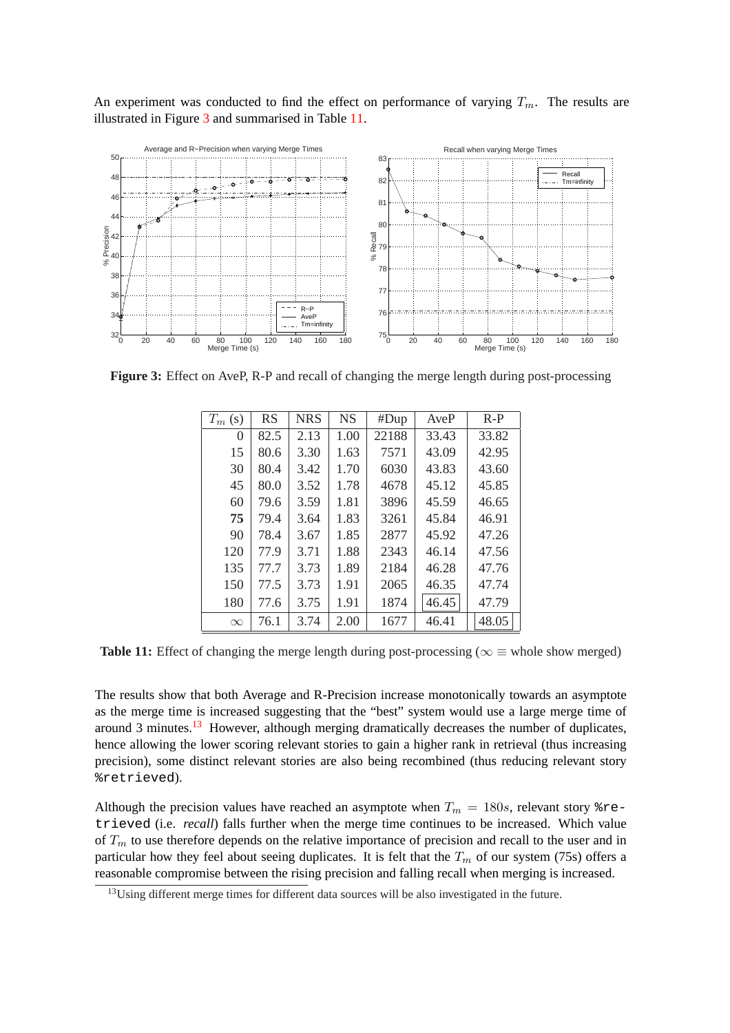An experiment was conducted to find the effect on performance of varying  $T_m$ . The results are illustrated in Figure 3 and summarised in Table 11.



**Figure 3:** Effect on AveP, R-P and recall of changing the merge length during post-processing

| $T_m$ (s) | <b>RS</b> | <b>NRS</b> | <b>NS</b> | #Dup  | AveP  | $R-P$ |
|-----------|-----------|------------|-----------|-------|-------|-------|
| 0         | 82.5      | 2.13       | 1.00      | 22188 | 33.43 | 33.82 |
| 15        | 80.6      | 3.30       | 1.63      | 7571  | 43.09 | 42.95 |
| 30        | 80.4      | 3.42       | 1.70      | 6030  | 43.83 | 43.60 |
| 45        | 80.0      | 3.52       | 1.78      | 4678  | 45.12 | 45.85 |
| 60        | 79.6      | 3.59       | 1.81      | 3896  | 45.59 | 46.65 |
| 75        | 79.4      | 3.64       | 1.83      | 3261  | 45.84 | 46.91 |
| 90        | 78.4      | 3.67       | 1.85      | 2877  | 45.92 | 47.26 |
| 120       | 77.9      | 3.71       | 1.88      | 2343  | 46.14 | 47.56 |
| 135       | 77.7      | 3.73       | 1.89      | 2184  | 46.28 | 47.76 |
| 150       | 77.5      | 3.73       | 1.91      | 2065  | 46.35 | 47.74 |
| 180       | 77.6      | 3.75       | 1.91      | 1874  | 46.45 | 47.79 |
| $\infty$  | 76.1      | 3.74       | 2.00      | 1677  | 46.41 | 48.05 |

**Table 11:** Effect of changing the merge length during post-processing ( $\infty \equiv$  whole show merged)

The results show that both Average and R-Precision increase monotonically towards an asymptote as the merge time is increased suggesting that the "best" system would use a large merge time of around 3 minutes.<sup>13</sup> However, although merging dramatically decreases the number of duplicates, hence allowing the lower scoring relevant stories to gain a higher rank in retrieval (thus increasing precision), some distinct relevant stories are also being recombined (thus reducing relevant story %retrieved).

Although the precision values have reached an asymptote when  $T_m = 180s$ , relevant story  $r =$ trieved (i.e. *recall*) falls further when the merge time continues to be increased. Which value of  $T_m$  to use therefore depends on the relative importance of precision and recall to the user and in particular how they feel about seeing duplicates. It is felt that the  $T_m$  of our system (75s) offers a reasonable compromise between the rising precision and falling recall when merging is increased.

<sup>&</sup>lt;sup>13</sup>Using different merge times for different data sources will be also investigated in the future.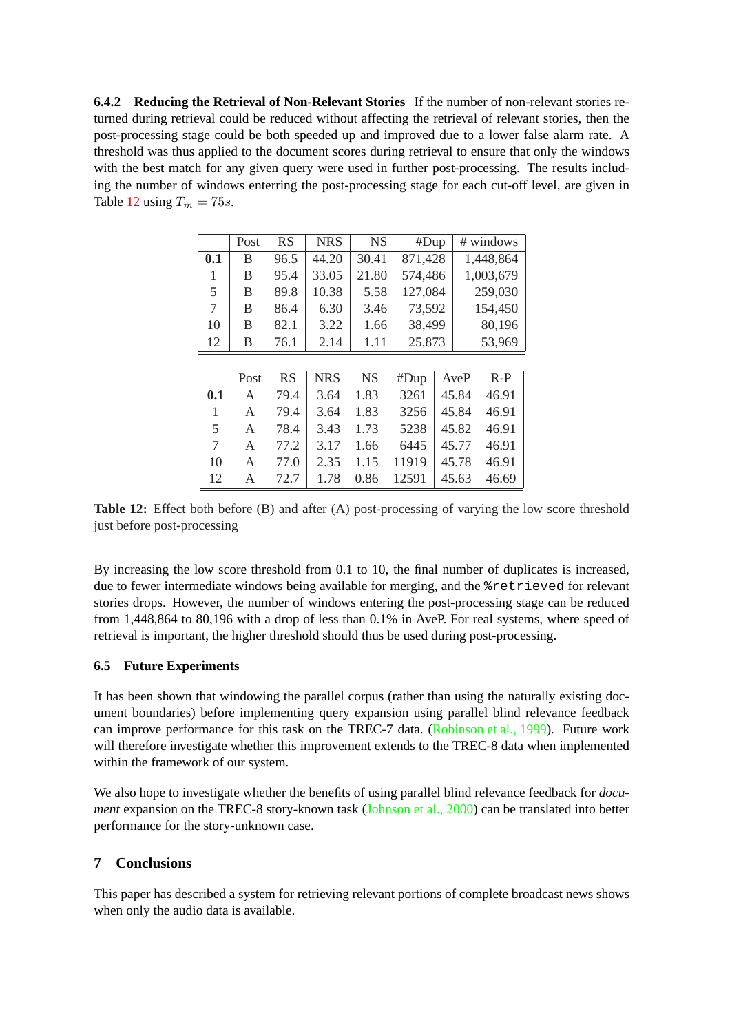<span id="page-12-0"></span>**6.4.2 Reducing the Retrieval of Non-Relevant Stories** If the number of non-relevant stories returned during retrieval could be reduced without affecting the retrieval of relevant stories, then the post-processing stage could be both speeded up and improved due to a lower false alarm rate. A threshold was thus applied to the document scores during retrieval to ensure that only the windows with the best match for any given query were used in further post-processing. The results including the number of windows enterring the post-processing stage for each cut-off level, are given in Table 12 using  $T_m = 75s$ .

|     | Post | <b>RS</b> | <b>NRS</b> | <b>NS</b> | #Dup    | # windows |
|-----|------|-----------|------------|-----------|---------|-----------|
| 0.1 | B    | 96.5      | 44.20      | 30.41     | 871,428 | 1,448,864 |
| 1   | B    | 95.4      | 33.05      | 21.80     | 574,486 | 1,003,679 |
| 5   | B    | 89.8      | 10.38      | 5.58      | 127,084 | 259,030   |
| 7   | B    | 86.4      | 6.30       | 3.46      | 73,592  | 154,450   |
| 10  | B    | 82.1      | 3.22       | 1.66      | 38,499  | 80,196    |
| 12  | B    | 76.1      | 2.14       | 1.11      | 25,873  | 53,969    |
|     |      |           |            |           |         |           |

|                | Post         | RS   | <b>NRS</b> | NS . |       | $#Dup \mid AveP \mid$ | $R-P$ |
|----------------|--------------|------|------------|------|-------|-----------------------|-------|
| 0.1            | $\mathbf{A}$ | 79.4 | 3.64       | 1.83 | 3261  | 45.84                 | 46.91 |
| $\mathbf{1}$   | A            | 79.4 | 3.64       | 1.83 | 3256  | 45.84                 | 46.91 |
| 5 <sup>5</sup> | A            | 78.4 | 3.43       | 1.73 | 5238  | 45.82                 | 46.91 |
| 7 <sup>7</sup> | A            | 77.2 | 3.17       | 1.66 | 6445  | $45.77 \mid 46.91$    |       |
| 10             | A            | 77.0 | 2.35       | 1.15 | 11919 | 45.78                 | 46.91 |
| 12             | A            | 72.7 | 1.78       | 0.86 | 12591 | 45.63                 | 46.69 |

**Table 12:** Effect both before (B) and after (A) post-processing of varying the low score threshold just before post-processing

By increasing the low score threshold from 0.1 to 10, the final number of duplicates is increased, due to fewer intermediate windows being available for merging, and the %retrieved for relevant stories drops. However, the number of windows entering the post-processing stage can be reduced from 1,448,864 to 80,196 with a drop of less than 0.1% in AveP. For real systems, where speed of retrieval is important, the higher threshold should thus be used during post-processing.

### **6.5 Future Experiments**

It has been shown that windowing the parallel corpus (rather than using the naturally existing document boundaries) before implementing query expansion using parallel blind relevance feedback can improve performance for this task on the TREC-7 data. (Robinson et al., 1999). Future work will therefore investigate whether this improvement extends to the TREC-8 data when implemented within the framework of our system.

We also hope to investigate whether the benefits of using parall[el blind relevance feed](#page-14-0)back for *document* expansion on the TREC-8 story-known task (Johnson et al., 2000) can be translated into better performance for the story-unknown case.

### **7 Conclusions**

This paper has described a system for retrieving relevant portions of complete broadcast news shows when only the audio data is available.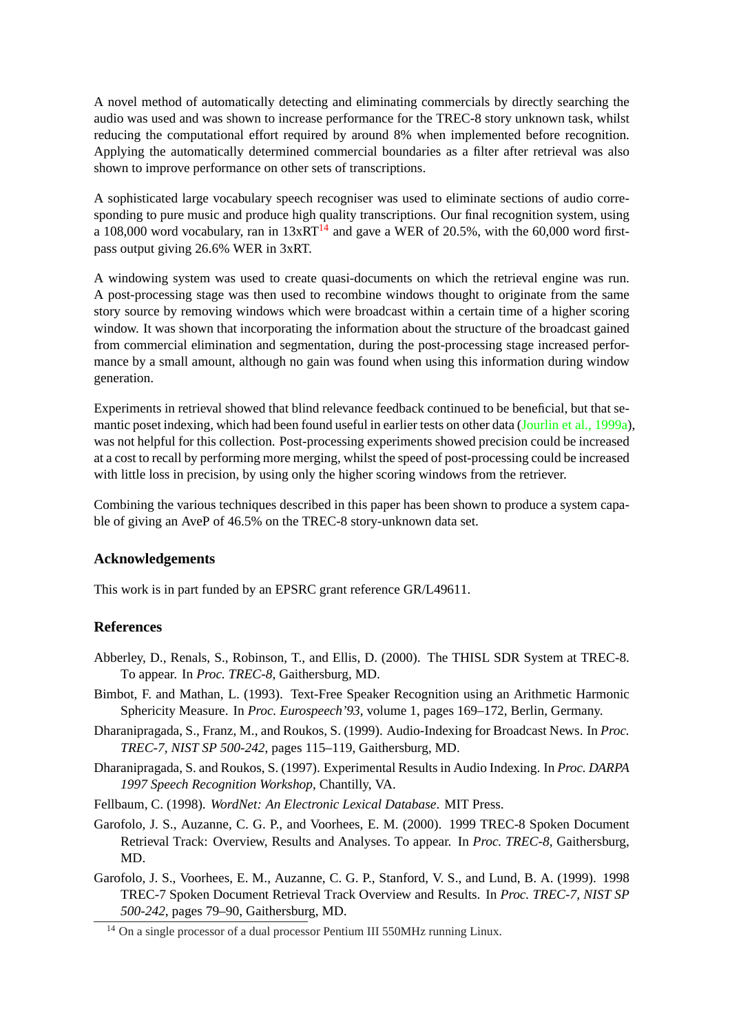<span id="page-13-0"></span>A novel method of automatically detecting and eliminating commercials by directly searching the audio was used and was shown to increase performance for the TREC-8 story unknown task, whilst reducing the computational effort required by around 8% when implemented before recognition. Applying the automatically determined commercial boundaries as a filter after retrieval was also shown to improve performance on other sets of transcriptions.

A sophisticated large vocabulary speech recogniser was used to eliminate sections of audio corresponding to pure music and produce high quality transcriptions. Our final recognition system, using a 108,000 word vocabulary, ran in  $13xRT^{14}$  and gave a WER of 20.5%, with the 60,000 word firstpass output giving 26.6% WER in 3xRT.

A windowing system was used to create quasi-documents on which the retrieval engine was run. A post-processing stage was then used to recombine windows thought to originate from the same story source by removing windows which were broadcast within a certain time of a higher scoring window. It was shown that incorporating the information about the structure of the broadcast gained from commercial elimination and segmentation, during the post-processing stage increased performance by a small amount, although no gain was found when using this information during window generation.

Experiments in retrieval showed that blind relevance feedback continued to be beneficial, but that semantic poset indexing, which had been found useful in earlier tests on other data (Jourlin et al., 1999a), was not helpful for this collection. Post-processing experiments showed precision could be increased at a cost to recall by performing more merging, whilst the speed of post-processing could be increased with little loss in precision, by using only the higher scoring windows from the [retriever.](#page-14-0)

Combining the various techniques described in this paper has been shown to produce a system capable of giving an AveP of 46.5% on the TREC-8 story-unknown data set.

#### **Acknowledgements**

This work is in part funded by an EPSRC grant reference GR/L49611.

#### **References**

- Abberley, D., Renals, S., Robinson, T., and Ellis, D. (2000). The THISL SDR System at TREC-8. To appear. In *Proc. TREC-8*, Gaithersburg, MD.
- Bimbot, F. and Mathan, L. (1993). Text-Free Speaker Recognition using an Arithmetic Harmonic Sphericity Measure. In *Proc. Eurospeech'93*, volume 1, pages 169–172, Berlin, Germany.
- Dharanipragada, S., Franz, M., and Roukos, S. (1999). Audio-Indexing for Broadcast News. In *Proc. TREC-7, NIST SP 500-242*, pages 115–119, Gaithersburg, MD.
- Dharanipragada, S. and Roukos, S. (1997). Experimental Results in Audio Indexing. In *Proc. DARPA 1997 Speech Recognition Workshop*, Chantilly, VA.

Fellbaum, C. (1998). *WordNet: An Electronic Lexical Database*. MIT Press.

- Garofolo, J. S., Auzanne, C. G. P., and Voorhees, E. M. (2000). 1999 TREC-8 Spoken Document Retrieval Track: Overview, Results and Analyses. To appear. In *Proc. TREC-8*, Gaithersburg, MD.
- Garofolo, J. S., Voorhees, E. M., Auzanne, C. G. P., Stanford, V. S., and Lund, B. A. (1999). 1998 TREC-7 Spoken Document Retrieval Track Overview and Results. In *Proc. TREC-7, NIST SP 500-242*, pages 79–90, Gaithersburg, MD.

<sup>&</sup>lt;sup>14</sup> On a single processor of a dual processor Pentium III 550MHz running Linux.